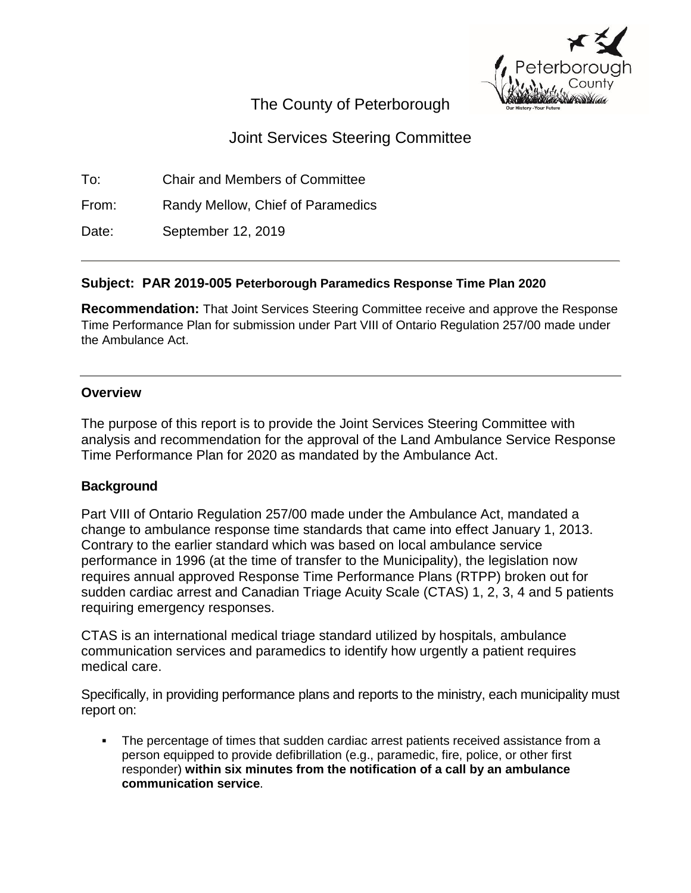

# The County of Peterborough

# Joint Services Steering Committee

To: Chair and Members of Committee

From: Randy Mellow, Chief of Paramedics

Date: September 12, 2019

## **Subject: PAR 2019-005 Peterborough Paramedics Response Time Plan 2020**

**Recommendation:** That Joint Services Steering Committee receive and approve the Response Time Performance Plan for submission under Part VIII of Ontario Regulation 257/00 made under the Ambulance Act.

## **Overview**

The purpose of this report is to provide the Joint Services Steering Committee with analysis and recommendation for the approval of the Land Ambulance Service Response Time Performance Plan for 2020 as mandated by the Ambulance Act.

## **Background**

Part VIII of Ontario Regulation 257/00 made under the Ambulance Act, mandated a change to ambulance response time standards that came into effect January 1, 2013. Contrary to the earlier standard which was based on local ambulance service performance in 1996 (at the time of transfer to the Municipality), the legislation now requires annual approved Response Time Performance Plans (RTPP) broken out for sudden cardiac arrest and Canadian Triage Acuity Scale (CTAS) 1, 2, 3, 4 and 5 patients requiring emergency responses.

CTAS is an international medical triage standard utilized by hospitals, ambulance communication services and paramedics to identify how urgently a patient requires medical care.

Specifically, in providing performance plans and reports to the ministry, each municipality must report on:

 The percentage of times that sudden cardiac arrest patients received assistance from a person equipped to provide defibrillation (e.g., paramedic, fire, police, or other first responder) **within six minutes from the notification of a call by an ambulance communication service**.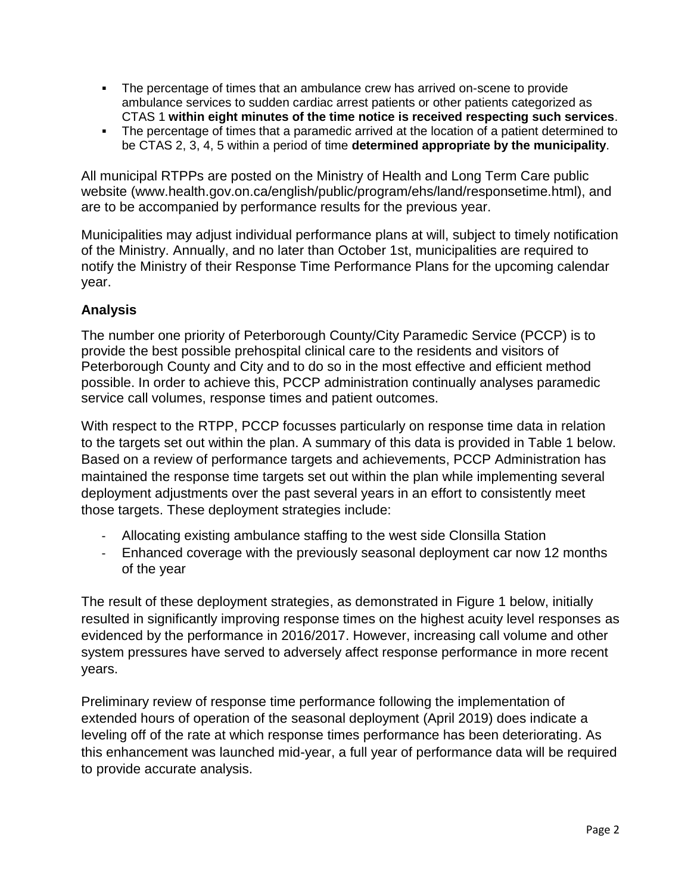- The percentage of times that an ambulance crew has arrived on-scene to provide ambulance services to sudden cardiac arrest patients or other patients categorized as CTAS 1 **within eight minutes of the time notice is received respecting such services**.
- The percentage of times that a paramedic arrived at the location of a patient determined to be CTAS 2, 3, 4, 5 within a period of time **determined appropriate by the municipality**.

All municipal RTPPs are posted on the Ministry of Health and Long Term Care public website (www.health.gov.on.ca/english/public/program/ehs/land/responsetime.html), and are to be accompanied by performance results for the previous year.

Municipalities may adjust individual performance plans at will, subject to timely notification of the Ministry. Annually, and no later than October 1st, municipalities are required to notify the Ministry of their Response Time Performance Plans for the upcoming calendar year.

#### **Analysis**

The number one priority of Peterborough County/City Paramedic Service (PCCP) is to provide the best possible prehospital clinical care to the residents and visitors of Peterborough County and City and to do so in the most effective and efficient method possible. In order to achieve this, PCCP administration continually analyses paramedic service call volumes, response times and patient outcomes.

With respect to the RTPP, PCCP focusses particularly on response time data in relation to the targets set out within the plan. A summary of this data is provided in Table 1 below. Based on a review of performance targets and achievements, PCCP Administration has maintained the response time targets set out within the plan while implementing several deployment adjustments over the past several years in an effort to consistently meet those targets. These deployment strategies include:

- Allocating existing ambulance staffing to the west side Clonsilla Station
- Enhanced coverage with the previously seasonal deployment car now 12 months of the year

The result of these deployment strategies, as demonstrated in Figure 1 below, initially resulted in significantly improving response times on the highest acuity level responses as evidenced by the performance in 2016/2017. However, increasing call volume and other system pressures have served to adversely affect response performance in more recent years.

Preliminary review of response time performance following the implementation of extended hours of operation of the seasonal deployment (April 2019) does indicate a leveling off of the rate at which response times performance has been deteriorating. As this enhancement was launched mid-year, a full year of performance data will be required to provide accurate analysis.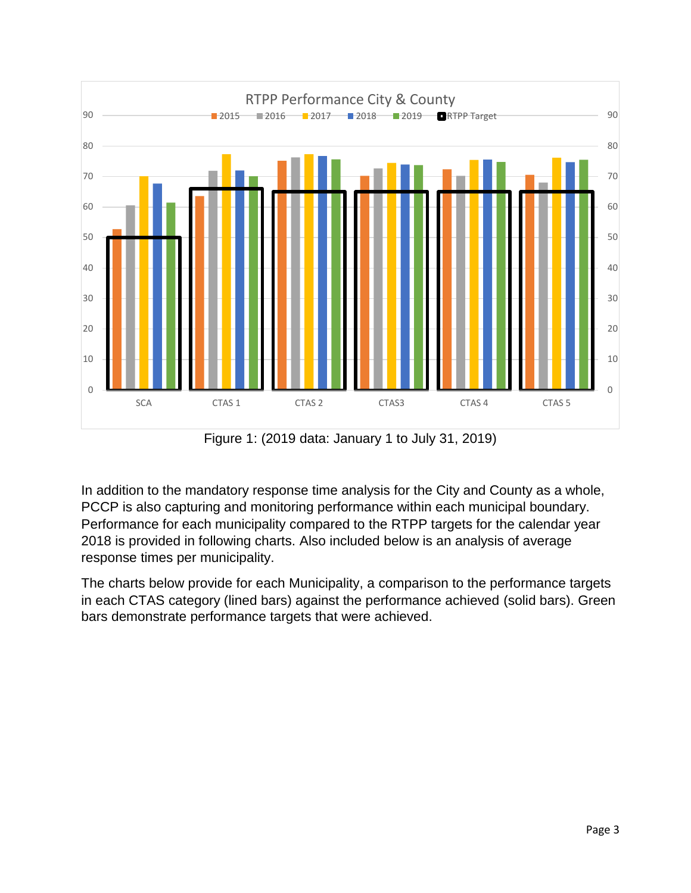

Figure 1: (2019 data: January 1 to July 31, 2019)

In addition to the mandatory response time analysis for the City and County as a whole, PCCP is also capturing and monitoring performance within each municipal boundary. Performance for each municipality compared to the RTPP targets for the calendar year is provided in following charts. Also included below is an analysis of average response times per municipality.

The charts below provide for each Municipality, a comparison to the performance targets in each CTAS category (lined bars) against the performance achieved (solid bars). Green bars demonstrate performance targets that were achieved.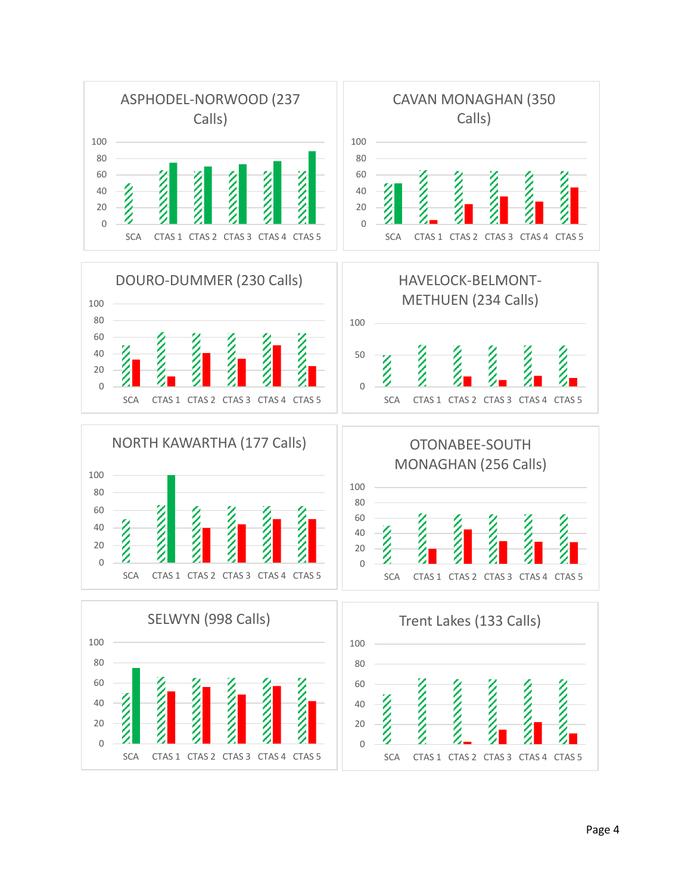

SCA CTAS 1 CTAS 2 CTAS 3 CTAS 4 CTAS 5

Page 4

SCA CTAS 1 CTAS 2 CTAS 3 CTAS 4 CTAS 5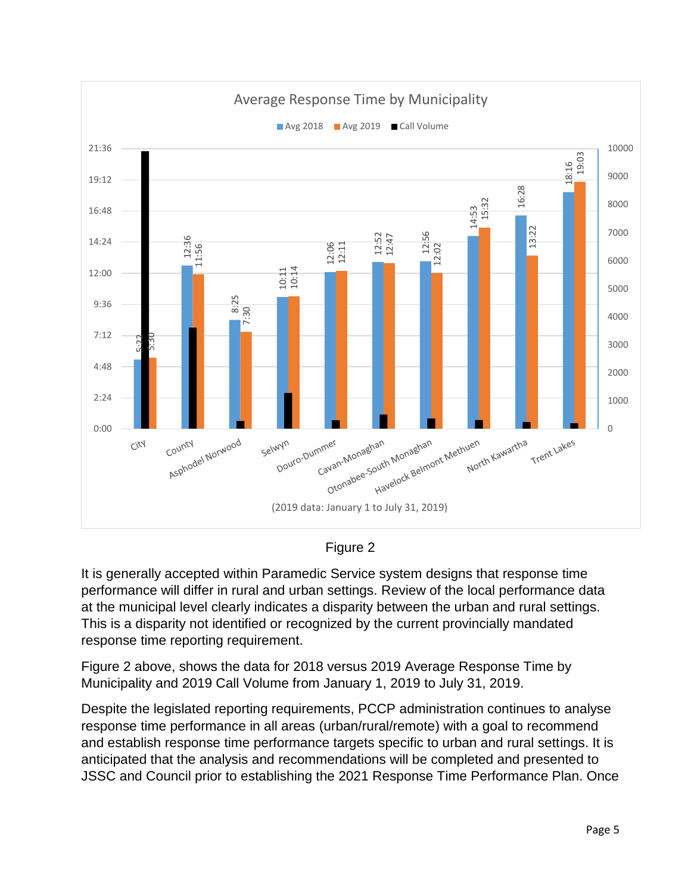

Figure 2

It is generally accepted within Paramedic Service system designs that response time performance will differ in rural and urban settings. Review of the local performance data at the municipal level clearly indicates a disparity between the urban and rural settings. This is a disparity not identified or recognized by the current provincially mandated response time reporting requirement.

Figure 2 above, shows the data for 2018 versus 2019 Average Response Time by Municipality and 2019 Call Volume from January 1, 2019 to July 31, 2019.

Despite the legislated reporting requirements, PCCP administration continues to analyse response time performance in all areas (urban/rural/remote) with a goal to recommend and establish response time performance targets specific to urban and rural settings. It is anticipated that the analysis and recommendations will be completed and presented to